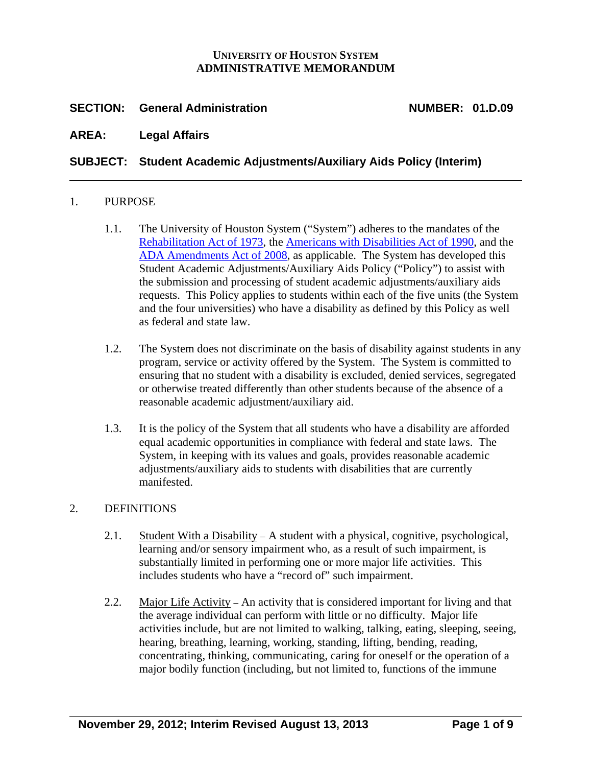### **UNIVERSITY OF HOUSTON SYSTEM ADMINISTRATIVE MEMORANDUM**

## **SECTION: General Administration NUMBER: 01.D.09**

### **AREA: Legal Affairs**

## **SUBJECT: Student Academic Adjustments/Auxiliary Aids Policy (Interim)**

#### 1. PURPOSE

- 1.1. The University of Houston System ("System") adheres to the mandates of the [Rehabilitation Act of 1973](http://www2.ed.gov/policy/speced/reg/narrative.html), the [Americans with Disabilities Act of 1990](http://www.ada.gov/pubs/ada.htm), and the [ADA Amendments Act of 2008](http://www.eeoc.gov/laws/statutes/adaaa_info.cfm), as applicable. The System has developed this Student Academic Adjustments/Auxiliary Aids Policy ("Policy") to assist with the submission and processing of student academic adjustments/auxiliary aids requests. This Policy applies to students within each of the five units (the System and the four universities) who have a disability as defined by this Policy as well as federal and state law.
- 1.2. The System does not discriminate on the basis of disability against students in any program, service or activity offered by the System. The System is committed to ensuring that no student with a disability is excluded, denied services, segregated or otherwise treated differently than other students because of the absence of a reasonable academic adjustment/auxiliary aid.
- 1.3. It is the policy of the System that all students who have a disability are afforded equal academic opportunities in compliance with federal and state laws. The System, in keeping with its values and goals, provides reasonable academic adjustments/auxiliary aids to students with disabilities that are currently manifested.

#### 2. DEFINITIONS

- 2.1. Student With a Disability A student with a physical, cognitive, psychological, learning and/or sensory impairment who, as a result of such impairment, is substantially limited in performing one or more major life activities. This includes students who have a "record of" such impairment.
- 2.2. Major Life Activity An activity that is considered important for living and that the average individual can perform with little or no difficulty. Major life activities include, but are not limited to walking, talking, eating, sleeping, seeing, hearing, breathing, learning, working, standing, lifting, bending, reading, concentrating, thinking, communicating, caring for oneself or the operation of a major bodily function (including, but not limited to, functions of the immune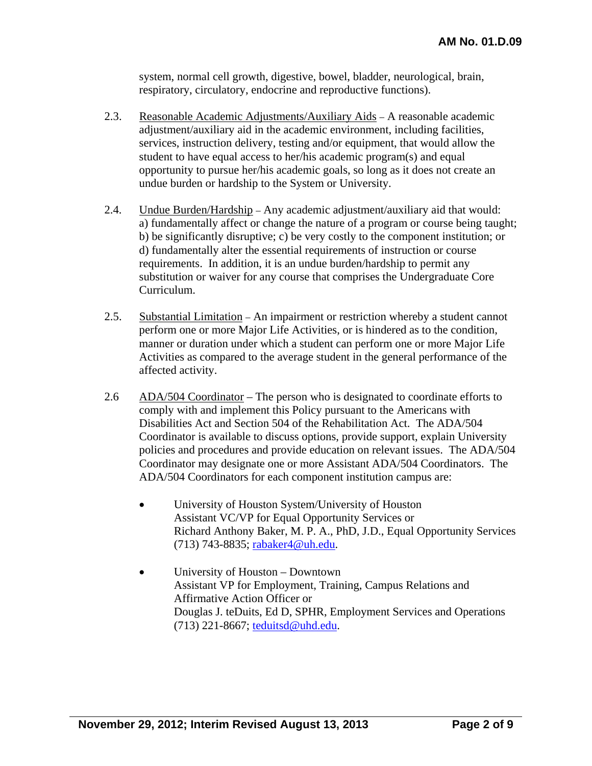system, normal cell growth, digestive, bowel, bladder, neurological, brain, respiratory, circulatory, endocrine and reproductive functions).

- 2.3. Reasonable Academic Adjustments/Auxiliary Aids A reasonable academic adjustment/auxiliary aid in the academic environment, including facilities, services, instruction delivery, testing and/or equipment, that would allow the student to have equal access to her/his academic program(s) and equal opportunity to pursue her/his academic goals, so long as it does not create an undue burden or hardship to the System or University.
- 2.4. Undue Burden/Hardship Any academic adjustment/auxiliary aid that would: a) fundamentally affect or change the nature of a program or course being taught; b) be significantly disruptive; c) be very costly to the component institution; or d) fundamentally alter the essential requirements of instruction or course requirements. In addition, it is an undue burden/hardship to permit any substitution or waiver for any course that comprises the Undergraduate Core Curriculum.
- 2.5. Substantial Limitation An impairment or restriction whereby a student cannot perform one or more Major Life Activities, or is hindered as to the condition, manner or duration under which a student can perform one or more Major Life Activities as compared to the average student in the general performance of the affected activity.
- 2.6 ADA/504 Coordinator The person who is designated to coordinate efforts to comply with and implement this Policy pursuant to the Americans with Disabilities Act and Section 504 of the Rehabilitation Act. The ADA/504 Coordinator is available to discuss options, provide support, explain University policies and procedures and provide education on relevant issues. The ADA/504 Coordinator may designate one or more Assistant ADA/504 Coordinators. The ADA/504 Coordinators for each component institution campus are:
	- University of Houston System/University of Houston Assistant VC/VP for Equal Opportunity Services or Richard Anthony Baker, M. P. A., PhD, J.D., Equal Opportunity Services (713) 743-8835; rabaker4@uh.edu.
	- University of Houston Downtown Assistant VP for Employment, Training, Campus Relations and Affirmative Action Officer or Douglas J. teDuits, Ed D, SPHR, Employment Services and Operations (713) 221-8667; teduitsd@uhd.edu.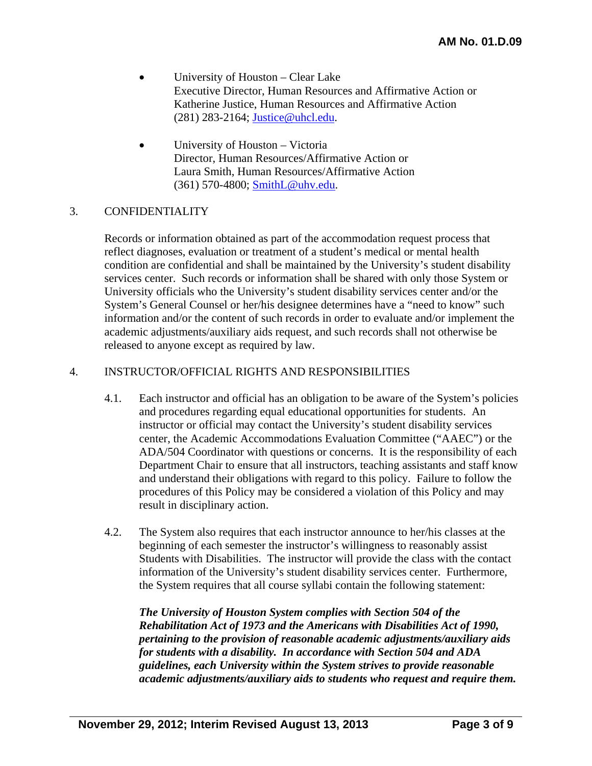- University of Houston Clear Lake Executive Director, Human Resources and Affirmative Action or Katherine Justice, Human Resources and Affirmative Action (281) 283-2164; Justice@uhcl.edu.
- Director, Human Resources/Affirmative Action or University of Houston – Victoria Laura Smith, Human Resources/Affirmative Action (361) 570-4800; SmithL@uhv.edu.

#### 3. CONFIDENTIALITY

Records or information obtained as part of the accommodation request process that reflect diagnoses, evaluation or treatment of a student's medical or mental health condition are confidential and shall be maintained by the University's student disability services center. Such records or information shall be shared with only those System or University officials who the University's student disability services center and/or the System's General Counsel or her/his designee determines have a "need to know" such information and/or the content of such records in order to evaluate and/or implement the academic adjustments/auxiliary aids request, and such records shall not otherwise be released to anyone except as required by law.

#### 4. INSTRUCTOR/OFFICIAL RIGHTS AND RESPONSIBILITIES

- 4.1. Each instructor and official has an obligation to be aware of the System's policies and procedures regarding equal educational opportunities for students. An instructor or official may contact the University's student disability services center, the Academic Accommodations Evaluation Committee ("AAEC") or the ADA/504 Coordinator with questions or concerns. It is the responsibility of each Department Chair to ensure that all instructors, teaching assistants and staff know and understand their obligations with regard to this policy. Failure to follow the procedures of this Policy may be considered a violation of this Policy and may result in disciplinary action.
- 4.2. The System also requires that each instructor announce to her/his classes at the beginning of each semester the instructor's willingness to reasonably assist Students with Disabilities. The instructor will provide the class with the contact information of the University's student disability services center. Furthermore, the System requires that all course syllabi contain the following statement:

*The University of Houston System complies with Section 504 of the Rehabilitation Act of 1973 and the Americans with Disabilities Act of 1990, pertaining to the provision of reasonable academic adjustments/auxiliary aids for students with a disability. In accordance with Section 504 and ADA guidelines, each University within the System strives to provide reasonable academic adjustments/auxiliary aids to students who request and require them.*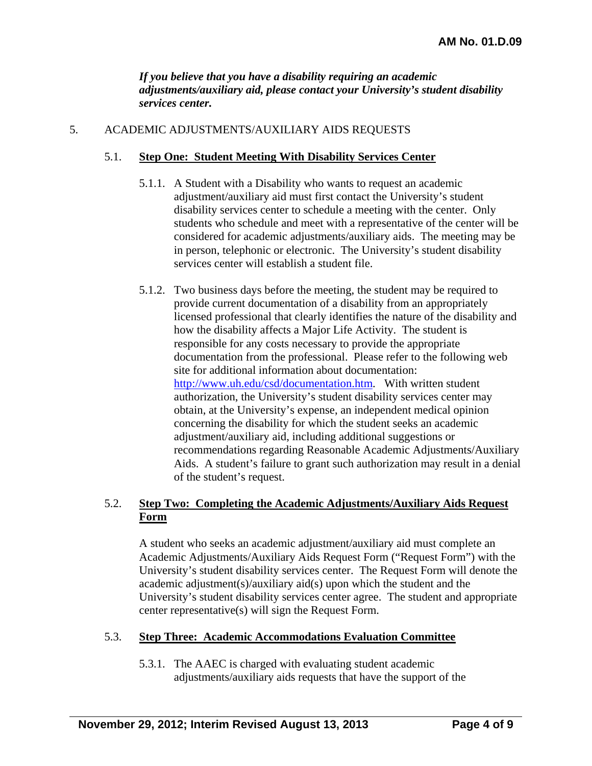*If you believe that you have a disability requiring an academic adjustments/auxiliary aid, please contact your University's student disability services center.* 

### 5. ACADEMIC ADJUSTMENTS/AUXILIARY AIDS REQUESTS

### 5.1. **Step One: Student Meeting With Disability Services Center**

- 5.1.1. A Student with a Disability who wants to request an academic adjustment/auxiliary aid must first contact the University's student disability services center to schedule a meeting with the center. Only students who schedule and meet with a representative of the center will be considered for academic adjustments/auxiliary aids. The meeting may be in person, telephonic or electronic. The University's student disability services center will establish a student file.
- 5.1.2. Two business days before the meeting, the student may be required to provide current documentation of a disability from an appropriately licensed professional that clearly identifies the nature of the disability and how the disability affects a Major Life Activity. The student is responsible for any costs necessary to provide the appropriate documentation from the professional. Please refer to the following web site for additional information about documentation: http://www.uh.edu/csd/documentation.htm. With written student authorization, the University's student disability services center may obtain, at the University's expense, an independent medical opinion concerning the disability for which the student seeks an academic adjustment/auxiliary aid, including additional suggestions or recommendations regarding Reasonable Academic Adjustments/Auxiliary Aids. A student's failure to grant such authorization may result in a denial of the student's request.

### 5.2. **Step Two: Completing the Academic Adjustments/Auxiliary Aids Request Form**

A student who seeks an academic adjustment/auxiliary aid must complete an Academic Adjustments/Auxiliary Aids Request Form ("Request Form") with the University's student disability services center. The Request Form will denote the academic adjustment(s)/auxiliary aid(s) upon which the student and the University's student disability services center agree. The student and appropriate center representative(s) will sign the Request Form.

#### 5.3. **Step Three: Academic Accommodations Evaluation Committee**

5.3.1. The AAEC is charged with evaluating student academic adjustments/auxiliary aids requests that have the support of the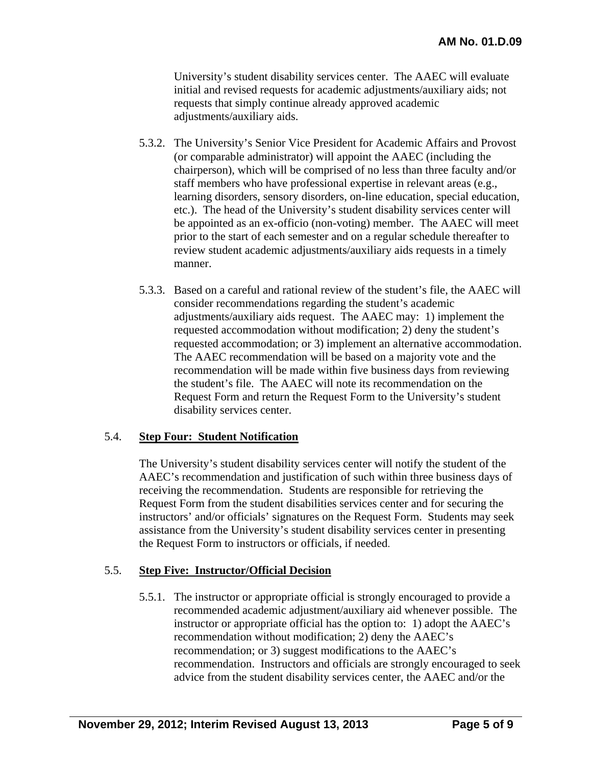University's student disability services center. The AAEC will evaluate initial and revised requests for academic adjustments/auxiliary aids; not requests that simply continue already approved academic adjustments/auxiliary aids.

- 5.3.2. The University's Senior Vice President for Academic Affairs and Provost (or comparable administrator) will appoint the AAEC (including the chairperson), which will be comprised of no less than three faculty and/or staff members who have professional expertise in relevant areas (e.g., learning disorders, sensory disorders, on-line education, special education, etc.). The head of the University's student disability services center will be appointed as an ex-officio (non-voting) member. The AAEC will meet prior to the start of each semester and on a regular schedule thereafter to review student academic adjustments/auxiliary aids requests in a timely manner.
- 5.3.3. Based on a careful and rational review of the student's file, the AAEC will consider recommendations regarding the student's academic adjustments/auxiliary aids request. The AAEC may: 1) implement the requested accommodation without modification; 2) deny the student's requested accommodation; or 3) implement an alternative accommodation. The AAEC recommendation will be based on a majority vote and the recommendation will be made within five business days from reviewing the student's file. The AAEC will note its recommendation on the Request Form and return the Request Form to the University's student disability services center.

#### 5.4. **Step Four: Student Notification**

The University's student disability services center will notify the student of the AAEC's recommendation and justification of such within three business days of receiving the recommendation. Students are responsible for retrieving the Request Form from the student disabilities services center and for securing the instructors' and/or officials' signatures on the Request Form. Students may seek assistance from the University's student disability services center in presenting the Request Form to instructors or officials, if needed.

#### 5.5. **Step Five: Instructor/Official Decision**

5.5.1. The instructor or appropriate official is strongly encouraged to provide a recommended academic adjustment/auxiliary aid whenever possible. The instructor or appropriate official has the option to: 1) adopt the AAEC's recommendation without modification; 2) deny the AAEC's recommendation; or 3) suggest modifications to the AAEC's recommendation. Instructors and officials are strongly encouraged to seek advice from the student disability services center, the AAEC and/or the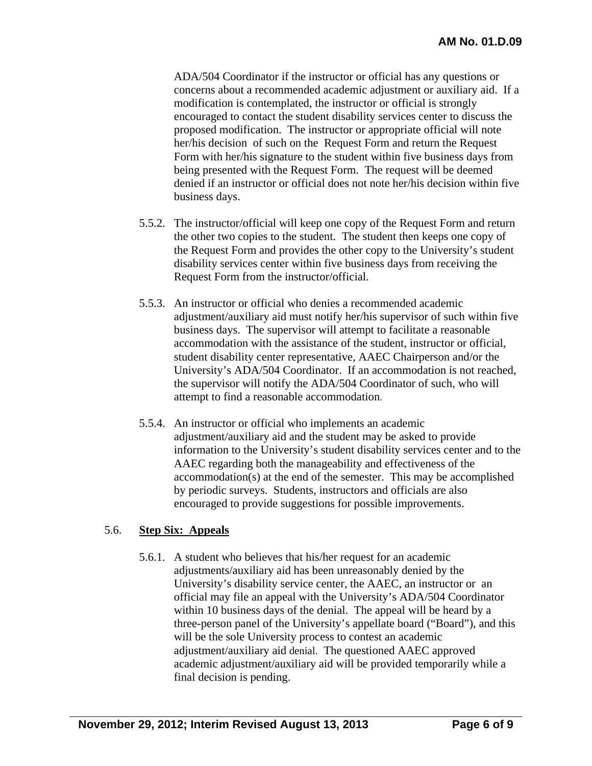ADA/504 Coordinator if the instructor or official has any questions or concerns about a recommended academic adjustment or auxiliary aid. If a modification is contemplated, the instructor or official is strongly encouraged to contact the student disability services center to discuss the proposed modification. The instructor or appropriate official will note her/his decision of such on the Request Form and return the Request Form with her/his signature to the student within five business days from being presented with the Request Form. The request will be deemed denied if an instructor or official does not note her/his decision within five business days.

- 5.5.2. The instructor/official will keep one copy of the Request Form and return the other two copies to the student. The student then keeps one copy of the Request Form and provides the other copy to the University's student disability services center within five business days from receiving the Request Form from the instructor/official.
- 5.5.3. An instructor or official who denies a recommended academic adjustment/auxiliary aid must notify her/his supervisor of such within five business days. The supervisor will attempt to facilitate a reasonable accommodation with the assistance of the student, instructor or official, student disability center representative, AAEC Chairperson and/or the University's ADA/504 Coordinator. If an accommodation is not reached, the supervisor will notify the ADA/504 Coordinator of such, who will attempt to find a reasonable accommodation.
- 5.5.4. An instructor or official who implements an academic adjustment/auxiliary aid and the student may be asked to provide information to the University's student disability services center and to the AAEC regarding both the manageability and effectiveness of the accommodation(s) at the end of the semester. This may be accomplished by periodic surveys. Students, instructors and officials are also encouraged to provide suggestions for possible improvements.

### 5.6. **Step Six: Appeals**

5.6.1. A student who believes that his/her request for an academic adjustments/auxiliary aid has been unreasonably denied by the University's disability service center, the AAEC, an instructor or an official may file an appeal with the University's ADA/504 Coordinator within 10 business days of the denial. The appeal will be heard by a three-person panel of the University's appellate board ("Board"), and this will be the sole University process to contest an academic adjustment/auxiliary aid denial. The questioned AAEC approved academic adjustment/auxiliary aid will be provided temporarily while a final decision is pending.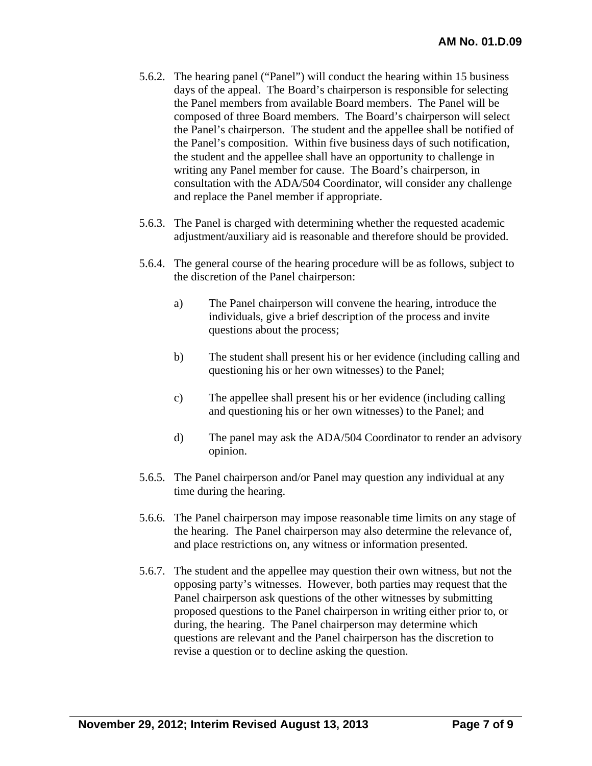- 5.6.2. The hearing panel ("Panel") will conduct the hearing within 15 business days of the appeal. The Board's chairperson is responsible for selecting the Panel members from available Board members. The Panel will be composed of three Board members. The Board's chairperson will select the Panel's chairperson. The student and the appellee shall be notified of the Panel's composition. Within five business days of such notification, the student and the appellee shall have an opportunity to challenge in writing any Panel member for cause. The Board's chairperson, in consultation with the ADA/504 Coordinator, will consider any challenge and replace the Panel member if appropriate.
- 5.6.3. The Panel is charged with determining whether the requested academic adjustment/auxiliary aid is reasonable and therefore should be provided.
- 5.6.4. The general course of the hearing procedure will be as follows, subject to the discretion of the Panel chairperson:
	- a) The Panel chairperson will convene the hearing, introduce the individuals, give a brief description of the process and invite questions about the process;
	- b) The student shall present his or her evidence (including calling and questioning his or her own witnesses) to the Panel;
	- c) The appellee shall present his or her evidence (including calling and questioning his or her own witnesses) to the Panel; and
	- d) The panel may ask the ADA/504 Coordinator to render an advisory opinion.
- 5.6.5. The Panel chairperson and/or Panel may question any individual at any time during the hearing.
- 5.6.6. The Panel chairperson may impose reasonable time limits on any stage of the hearing. The Panel chairperson may also determine the relevance of, and place restrictions on, any witness or information presented.
- 5.6.7. The student and the appellee may question their own witness, but not the opposing party's witnesses. However, both parties may request that the Panel chairperson ask questions of the other witnesses by submitting proposed questions to the Panel chairperson in writing either prior to, or during, the hearing. The Panel chairperson may determine which questions are relevant and the Panel chairperson has the discretion to revise a question or to decline asking the question.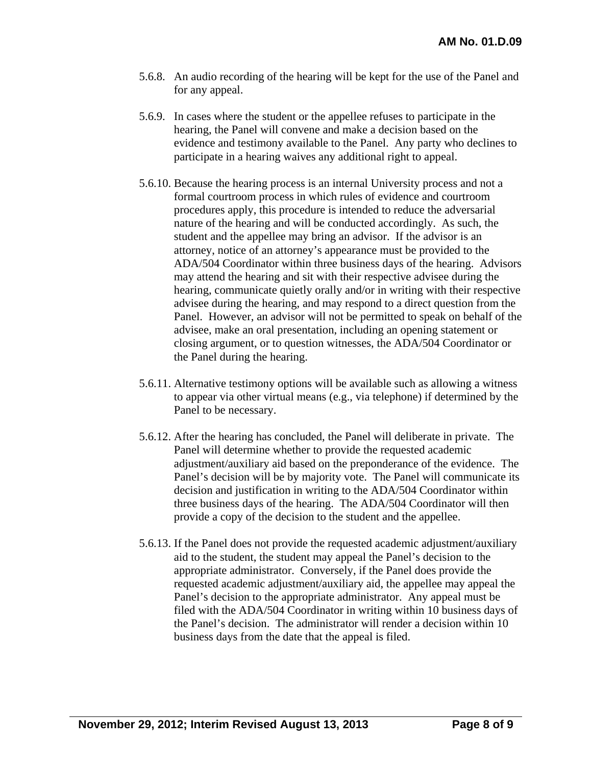- 5.6.8. An audio recording of the hearing will be kept for the use of the Panel and for any appeal.
- 5.6.9. In cases where the student or the appellee refuses to participate in the hearing, the Panel will convene and make a decision based on the evidence and testimony available to the Panel. Any party who declines to participate in a hearing waives any additional right to appeal.
- 5.6.10. Because the hearing process is an internal University process and not a formal courtroom process in which rules of evidence and courtroom procedures apply, this procedure is intended to reduce the adversarial nature of the hearing and will be conducted accordingly. As such, the student and the appellee may bring an advisor. If the advisor is an attorney, notice of an attorney's appearance must be provided to the ADA/504 Coordinator within three business days of the hearing. Advisors may attend the hearing and sit with their respective advisee during the hearing, communicate quietly orally and/or in writing with their respective advisee during the hearing, and may respond to a direct question from the Panel. However, an advisor will not be permitted to speak on behalf of the advisee, make an oral presentation, including an opening statement or closing argument, or to question witnesses, the ADA/504 Coordinator or the Panel during the hearing.
- 5.6.11. Alternative testimony options will be available such as allowing a witness to appear via other virtual means (e.g., via telephone) if determined by the Panel to be necessary.
- 5.6.12. After the hearing has concluded, the Panel will deliberate in private. The Panel will determine whether to provide the requested academic adjustment/auxiliary aid based on the preponderance of the evidence. The Panel's decision will be by majority vote. The Panel will communicate its decision and justification in writing to the ADA/504 Coordinator within three business days of the hearing. The ADA/504 Coordinator will then provide a copy of the decision to the student and the appellee.
- 5.6.13. If the Panel does not provide the requested academic adjustment/auxiliary aid to the student, the student may appeal the Panel's decision to the appropriate administrator. Conversely, if the Panel does provide the requested academic adjustment/auxiliary aid, the appellee may appeal the Panel's decision to the appropriate administrator. Any appeal must be filed with the ADA/504 Coordinator in writing within 10 business days of the Panel's decision. The administrator will render a decision within 10 business days from the date that the appeal is filed.